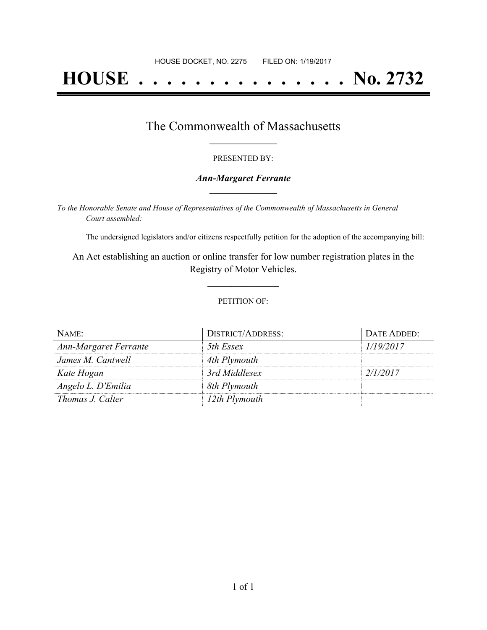# **HOUSE . . . . . . . . . . . . . . . No. 2732**

## The Commonwealth of Massachusetts **\_\_\_\_\_\_\_\_\_\_\_\_\_\_\_\_\_**

#### PRESENTED BY:

#### *Ann-Margaret Ferrante* **\_\_\_\_\_\_\_\_\_\_\_\_\_\_\_\_\_**

*To the Honorable Senate and House of Representatives of the Commonwealth of Massachusetts in General Court assembled:*

The undersigned legislators and/or citizens respectfully petition for the adoption of the accompanying bill:

An Act establishing an auction or online transfer for low number registration plates in the Registry of Motor Vehicles.

**\_\_\_\_\_\_\_\_\_\_\_\_\_\_\_**

#### PETITION OF:

| NAME:                 | <b>DISTRICT/ADDRESS:</b> | DATE ADDED: |
|-----------------------|--------------------------|-------------|
| Ann-Margaret Ferrante | 5th Essex                | 1/19/2017   |
| James M. Cantwell     | 4th Plymouth             |             |
| Kate Hogan            | 3rd Middlesex            | 2/1/2017    |
| Angelo L. D'Emilia    | 8th Plymouth             |             |
| Thomas J. Calter      | 12th Plymouth            |             |